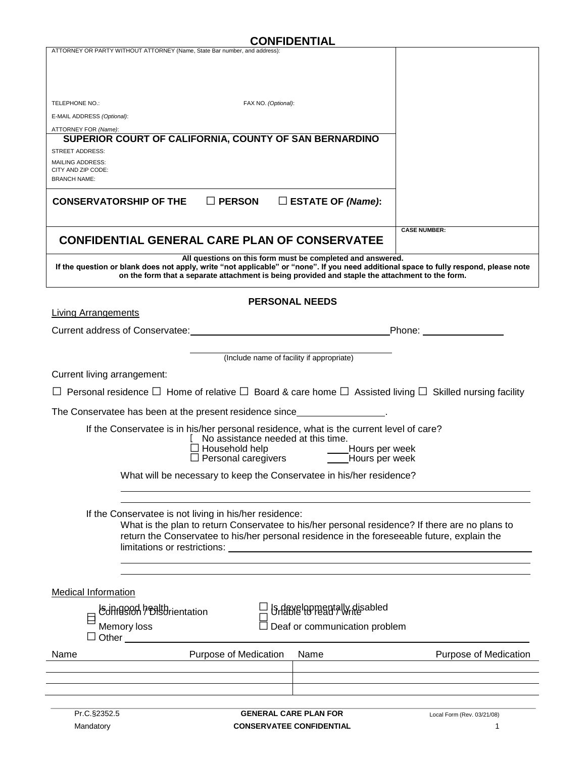## **CONFIDENTIAL**

| ATTORNEY OR PARTY WITHOUT ATTORNEY (Name, State Bar number, and address):                                                                                                                                                                                                                              |  |
|--------------------------------------------------------------------------------------------------------------------------------------------------------------------------------------------------------------------------------------------------------------------------------------------------------|--|
|                                                                                                                                                                                                                                                                                                        |  |
|                                                                                                                                                                                                                                                                                                        |  |
| TELEPHONE NO.:<br>FAX NO. (Optional):                                                                                                                                                                                                                                                                  |  |
| E-MAIL ADDRESS (Optional):                                                                                                                                                                                                                                                                             |  |
| ATTORNEY FOR (Name):                                                                                                                                                                                                                                                                                   |  |
| SUPERIOR COURT OF CALIFORNIA, COUNTY OF SAN BERNARDINO                                                                                                                                                                                                                                                 |  |
| <b>STREET ADDRESS:</b><br><b>MAILING ADDRESS:</b>                                                                                                                                                                                                                                                      |  |
| CITY AND ZIP CODE:                                                                                                                                                                                                                                                                                     |  |
| <b>BRANCH NAME:</b>                                                                                                                                                                                                                                                                                    |  |
| $\square$ PERSON<br>$\Box$ ESTATE OF (Name):<br><b>CONSERVATORSHIP OF THE</b>                                                                                                                                                                                                                          |  |
| <b>CASE NUMBER:</b>                                                                                                                                                                                                                                                                                    |  |
| <b>CONFIDENTIAL GENERAL CARE PLAN OF CONSERVATEE</b>                                                                                                                                                                                                                                                   |  |
| All questions on this form must be completed and answered.<br>If the question or blank does not apply, write "not applicable" or "none". If you need additional space to fully respond, please note<br>on the form that a separate attachment is being provided and staple the attachment to the form. |  |
| <b>PERSONAL NEEDS</b><br><b>Living Arrangements</b>                                                                                                                                                                                                                                                    |  |
|                                                                                                                                                                                                                                                                                                        |  |
|                                                                                                                                                                                                                                                                                                        |  |
|                                                                                                                                                                                                                                                                                                        |  |
| (Include name of facility if appropriate)                                                                                                                                                                                                                                                              |  |
| Current living arrangement:                                                                                                                                                                                                                                                                            |  |
| Personal residence $\Box$ Home of relative $\Box$ Board & care home $\Box$ Assisted living $\Box$ Skilled nursing facility                                                                                                                                                                             |  |
|                                                                                                                                                                                                                                                                                                        |  |
| The Conservatee has been at the present residence since_________________________                                                                                                                                                                                                                       |  |
| If the Conservatee is in his/her personal residence, what is the current level of care?                                                                                                                                                                                                                |  |
| No assistance needed at this time.                                                                                                                                                                                                                                                                     |  |
| □ Household help ______________Hours per week<br>□ Personal caregivers ________Hours per week                                                                                                                                                                                                          |  |
|                                                                                                                                                                                                                                                                                                        |  |
| What will be necessary to keep the Conservatee in his/her residence?                                                                                                                                                                                                                                   |  |
|                                                                                                                                                                                                                                                                                                        |  |
|                                                                                                                                                                                                                                                                                                        |  |
| If the Conservatee is not living in his/her residence:<br>What is the plan to return Conservatee to his/her personal residence? If there are no plans to                                                                                                                                               |  |
| return the Conservatee to his/her personal residence in the foreseeable future, explain the                                                                                                                                                                                                            |  |
| limitations or restrictions:                                                                                                                                                                                                                                                                           |  |
|                                                                                                                                                                                                                                                                                                        |  |
|                                                                                                                                                                                                                                                                                                        |  |
| <b>Medical Information</b>                                                                                                                                                                                                                                                                             |  |
|                                                                                                                                                                                                                                                                                                        |  |
| Is developmentally disabled<br>Unable to read / write<br><b>Schffesich healthrientation</b><br>E                                                                                                                                                                                                       |  |
| Deaf or communication problem<br>Memory loss                                                                                                                                                                                                                                                           |  |
| $\Box$ Other                                                                                                                                                                                                                                                                                           |  |
| Purpose of Medication<br><b>Purpose of Medication</b><br>Name<br>Name                                                                                                                                                                                                                                  |  |
|                                                                                                                                                                                                                                                                                                        |  |
|                                                                                                                                                                                                                                                                                                        |  |
|                                                                                                                                                                                                                                                                                                        |  |
| Pr.C.§2352.5<br><b>GENERAL CARE PLAN FOR</b><br>Local Form (Rev. 03/21/08)                                                                                                                                                                                                                             |  |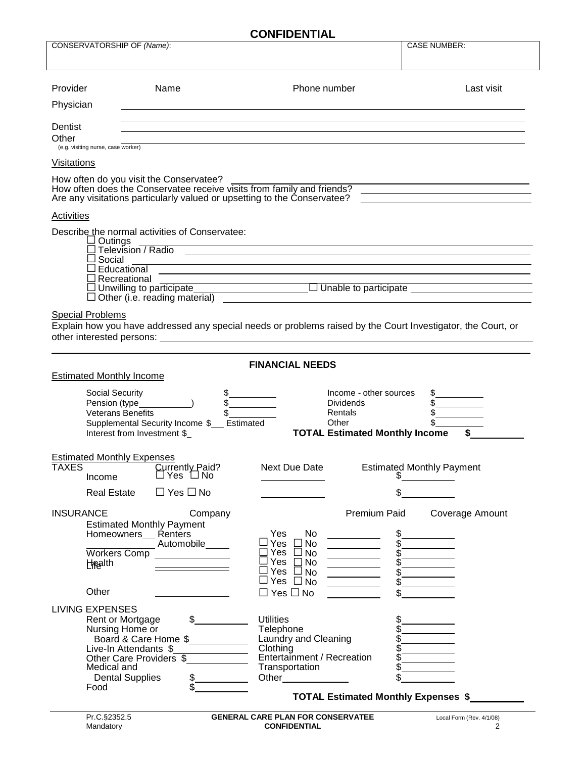| <b>CONFIDENTIAL</b>                                               |                                                                                                                                                           |                                                                                                                                                                                                                                                                                                                                                                                                                                                                                                                                                                            |                                                                                                                                              |  |  |  |
|-------------------------------------------------------------------|-----------------------------------------------------------------------------------------------------------------------------------------------------------|----------------------------------------------------------------------------------------------------------------------------------------------------------------------------------------------------------------------------------------------------------------------------------------------------------------------------------------------------------------------------------------------------------------------------------------------------------------------------------------------------------------------------------------------------------------------------|----------------------------------------------------------------------------------------------------------------------------------------------|--|--|--|
| CONSERVATORSHIP OF (Name):                                        |                                                                                                                                                           |                                                                                                                                                                                                                                                                                                                                                                                                                                                                                                                                                                            | <b>CASE NUMBER:</b>                                                                                                                          |  |  |  |
|                                                                   |                                                                                                                                                           |                                                                                                                                                                                                                                                                                                                                                                                                                                                                                                                                                                            |                                                                                                                                              |  |  |  |
| Provider                                                          | Name                                                                                                                                                      | Phone number                                                                                                                                                                                                                                                                                                                                                                                                                                                                                                                                                               | Last visit                                                                                                                                   |  |  |  |
| Physician                                                         |                                                                                                                                                           |                                                                                                                                                                                                                                                                                                                                                                                                                                                                                                                                                                            |                                                                                                                                              |  |  |  |
| Dentist<br>Other                                                  |                                                                                                                                                           |                                                                                                                                                                                                                                                                                                                                                                                                                                                                                                                                                                            |                                                                                                                                              |  |  |  |
| (e.g. visiting nurse, case worker)                                |                                                                                                                                                           |                                                                                                                                                                                                                                                                                                                                                                                                                                                                                                                                                                            |                                                                                                                                              |  |  |  |
| <b>Visitations</b>                                                |                                                                                                                                                           |                                                                                                                                                                                                                                                                                                                                                                                                                                                                                                                                                                            |                                                                                                                                              |  |  |  |
|                                                                   | How often do you visit the Conservatee?                                                                                                                   | Are any visitations particularly valued or upsetting to the Conservatee?                                                                                                                                                                                                                                                                                                                                                                                                                                                                                                   | How often does the Conservatee receive visits from family and friends?                                                                       |  |  |  |
| Activities                                                        |                                                                                                                                                           |                                                                                                                                                                                                                                                                                                                                                                                                                                                                                                                                                                            |                                                                                                                                              |  |  |  |
| $\square$ Outings<br>Social                                       | Describe the normal activities of Conservatee:<br>$\Box$ Educational                                                                                      |                                                                                                                                                                                                                                                                                                                                                                                                                                                                                                                                                                            | Television / Radio<br><u> 1989 - Johann Stoff, deutscher Stoffen und der Stoffen und der Stoffen und der Stoffen und der Stoffen und der</u> |  |  |  |
|                                                                   | $\Box$ Recreational                                                                                                                                       |                                                                                                                                                                                                                                                                                                                                                                                                                                                                                                                                                                            |                                                                                                                                              |  |  |  |
|                                                                   |                                                                                                                                                           |                                                                                                                                                                                                                                                                                                                                                                                                                                                                                                                                                                            |                                                                                                                                              |  |  |  |
| <b>Special Problems</b>                                           |                                                                                                                                                           |                                                                                                                                                                                                                                                                                                                                                                                                                                                                                                                                                                            | Explain how you have addressed any special needs or problems raised by the Court Investigator, the Court, or                                 |  |  |  |
|                                                                   |                                                                                                                                                           | <b>FINANCIAL NEEDS</b>                                                                                                                                                                                                                                                                                                                                                                                                                                                                                                                                                     |                                                                                                                                              |  |  |  |
| <b>Estimated Monthly Income</b>                                   |                                                                                                                                                           |                                                                                                                                                                                                                                                                                                                                                                                                                                                                                                                                                                            |                                                                                                                                              |  |  |  |
| Social Security                                                   | <b>Veterans Benefits</b><br>Supplemental Security Income \$__ Estimated<br>Interest from Investment \$                                                    | <b>Dividends</b><br>Rentals<br>Other                                                                                                                                                                                                                                                                                                                                                                                                                                                                                                                                       | Income - other sources<br>\$<br><b>TOTAL Estimated Monthly Income</b>                                                                        |  |  |  |
| <b>Estimated Monthly Expenses</b><br><b>TAXES</b><br>Income       | Currently Paid?<br>$\Box$ Yes $\Box$ No                                                                                                                   | Next Due Date                                                                                                                                                                                                                                                                                                                                                                                                                                                                                                                                                              | <b>Estimated Monthly Payment</b>                                                                                                             |  |  |  |
| <b>Real Estate</b>                                                | $\Box$ Yes $\Box$ No                                                                                                                                      |                                                                                                                                                                                                                                                                                                                                                                                                                                                                                                                                                                            | \$                                                                                                                                           |  |  |  |
|                                                                   |                                                                                                                                                           |                                                                                                                                                                                                                                                                                                                                                                                                                                                                                                                                                                            |                                                                                                                                              |  |  |  |
| <b>INSURANCE</b><br><b>Workers Comp</b><br><b>Health</b><br>Other | Company<br><b>Estimated Monthly Payment</b><br>Homeowners Renters<br>Automobile                                                                           | Yes<br>No<br>□Yes □No<br><u> The Communication of the Communication of the Communication of the Communication of the Communication of the Communication of the Communication of the Communication of the Communication of the Communication of the Commun</u><br>∃Yes □No<br><u> 1980 - Johann Barnett, fransk konge</u><br>Yes<br>$\square$ No<br><u> 1980 - Johann Barnett, f</u><br>Yes $\square$ No<br>Yes $\Box$ No<br><u>and a strong part of the strong part of the strong part of the strong part of the strong part of the strong par</u><br>$\Box$ Yes $\Box$ No | Premium Paid<br>Coverage Amount<br>\$<br>\$<br>$\mathbb{S}$                                                                                  |  |  |  |
| <b>LIVING EXPENSES</b><br>Medical and<br>Food                     | $\sim$<br>Rent or Mortgage<br>Nursing Home or<br>Board & Care Home \$<br>Live-In Attendants \$<br>Other Care Providers \$<br>\$<br><b>Dental Supplies</b> | <b>Utilities</b><br>Telephone<br>Laundry and Cleaning<br>Clothing<br>Entertainment / Recreation<br>Transportation<br>Other_____________                                                                                                                                                                                                                                                                                                                                                                                                                                    | <b>TOTAL Estimated Monthly Expenses \$</b>                                                                                                   |  |  |  |